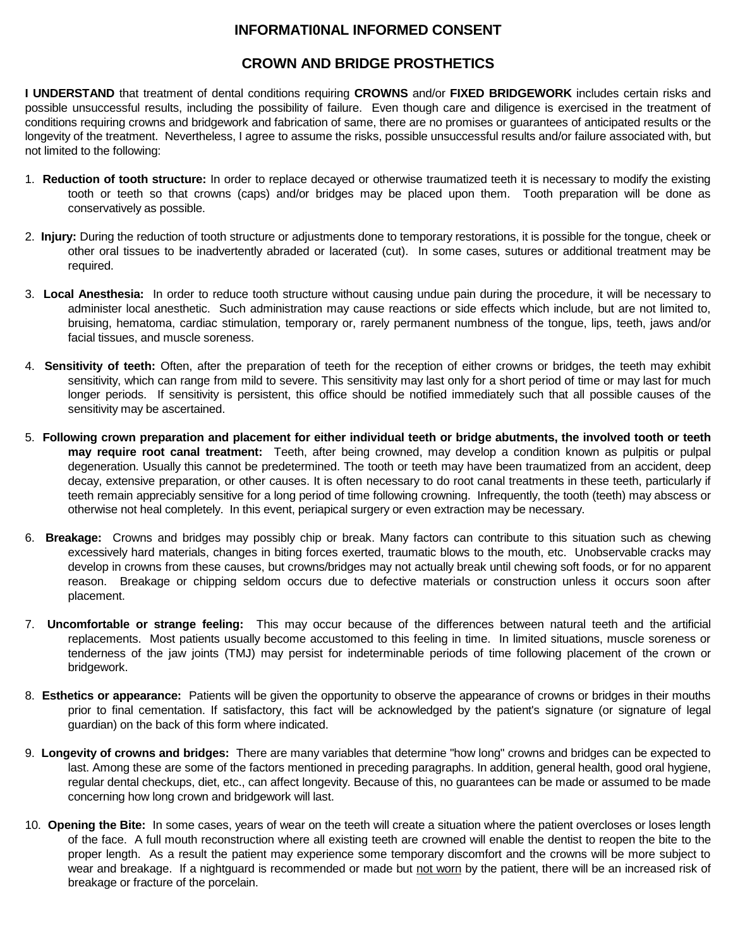## **INFORMATI0NAL INFORMED CONSENT**

## **CROWN AND BRIDGE PROSTHETICS**

**I UNDERSTAND** that treatment of dental conditions requiring **CROWNS** and/or **FIXED BRIDGEWORK** includes certain risks and possible unsuccessful results, including the possibility of failure. Even though care and diligence is exercised in the treatment of conditions requiring crowns and bridgework and fabrication of same, there are no promises or guarantees of anticipated results or the longevity of the treatment. Nevertheless, I agree to assume the risks, possible unsuccessful results and/or failure associated with, but not limited to the following:

- 1. **Reduction of tooth structure:** In order to replace decayed or otherwise traumatized teeth it is necessary to modify the existing tooth or teeth so that crowns (caps) and/or bridges may be placed upon them. Tooth preparation will be done as conservatively as possible.
- 2. **Injury:** During the reduction of tooth structure or adjustments done to temporary restorations, it is possible for the tongue, cheek or other oral tissues to be inadvertently abraded or lacerated (cut). In some cases, sutures or additional treatment may be required.
- 3. **Local Anesthesia:** In order to reduce tooth structure without causing undue pain during the procedure, it will be necessary to administer local anesthetic. Such administration may cause reactions or side effects which include, but are not limited to, bruising, hematoma, cardiac stimulation, temporary or, rarely permanent numbness of the tongue, lips, teeth, jaws and/or facial tissues, and muscle soreness.
- 4. **Sensitivity of teeth:** Often, after the preparation of teeth for the reception of either crowns or bridges, the teeth may exhibit sensitivity, which can range from mild to severe. This sensitivity may last only for a short period of time or may last for much longer periods. If sensitivity is persistent, this office should be notified immediately such that all possible causes of the sensitivity may be ascertained.
- 5. **Following crown preparation and placement for either individual teeth or bridge abutments, the involved tooth or teeth may require root canal treatment:** Teeth, after being crowned, may develop a condition known as pulpitis or pulpal degeneration. Usually this cannot be predetermined. The tooth or teeth may have been traumatized from an accident, deep decay, extensive preparation, or other causes. It is often necessary to do root canal treatments in these teeth, particularly if teeth remain appreciably sensitive for a long period of time following crowning. Infrequently, the tooth (teeth) may abscess or otherwise not heal completely. In this event, periapical surgery or even extraction may be necessary.
- 6. **Breakage:** Crowns and bridges may possibly chip or break. Many factors can contribute to this situation such as chewing excessively hard materials, changes in biting forces exerted, traumatic blows to the mouth, etc. Unobservable cracks may develop in crowns from these causes, but crowns/bridges may not actually break until chewing soft foods, or for no apparent reason. Breakage or chipping seldom occurs due to defective materials or construction unless it occurs soon after placement.
- 7. **Uncomfortable or strange feeling:** This may occur because of the differences between natural teeth and the artificial replacements. Most patients usually become accustomed to this feeling in time. In limited situations, muscle soreness or tenderness of the jaw joints (TMJ) may persist for indeterminable periods of time following placement of the crown or bridgework.
- 8. **Esthetics or appearance:** Patients will be given the opportunity to observe the appearance of crowns or bridges in their mouths prior to final cementation. If satisfactory, this fact will be acknowledged by the patient's signature (or signature of legal guardian) on the back of this form where indicated.
- 9. **Longevity of crowns and bridges:** There are many variables that determine "how long" crowns and bridges can be expected to last. Among these are some of the factors mentioned in preceding paragraphs. In addition, general health, good oral hygiene, regular dental checkups, diet, etc., can affect longevity. Because of this, no guarantees can be made or assumed to be made concerning how long crown and bridgework will last.
- 10. **Opening the Bite:** In some cases, years of wear on the teeth will create a situation where the patient overcloses or loses length of the face. A full mouth reconstruction where all existing teeth are crowned will enable the dentist to reopen the bite to the proper length. As a result the patient may experience some temporary discomfort and the crowns will be more subject to wear and breakage. If a nightguard is recommended or made but not worn by the patient, there will be an increased risk of breakage or fracture of the porcelain.